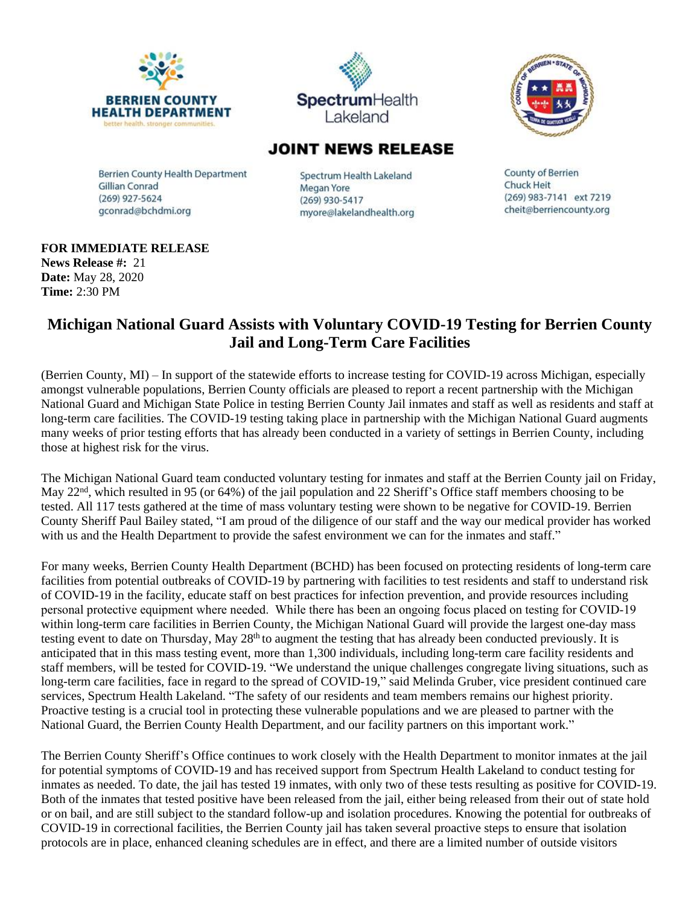





## **JOINT NEWS RELEASE**

Berrien County Health Department **Gillian Conrad** (269) 927-5624 gconrad@bchdmi.org

Spectrum Health Lakeland Megan Yore (269) 930-5417 myore@lakelandhealth.org

**County of Berrien Chuck Heit** (269) 983-7141 ext 7219 cheit@berriencounty.org

## **FOR IMMEDIATE RELEASE**

**News Release #:** 21 **Date:** May 28, 2020 **Time:** 2:30 PM

## **Michigan National Guard Assists with Voluntary COVID-19 Testing for Berrien County Jail and Long-Term Care Facilities**

(Berrien County, MI) – In support of the statewide efforts to increase testing for COVID-19 across Michigan, especially amongst vulnerable populations, Berrien County officials are pleased to report a recent partnership with the Michigan National Guard and Michigan State Police in testing Berrien County Jail inmates and staff as well as residents and staff at long-term care facilities. The COVID-19 testing taking place in partnership with the Michigan National Guard augments many weeks of prior testing efforts that has already been conducted in a variety of settings in Berrien County, including those at highest risk for the virus.

The Michigan National Guard team conducted voluntary testing for inmates and staff at the Berrien County jail on Friday, May 22<sup>nd</sup>, which resulted in 95 (or 64%) of the jail population and 22 Sheriff's Office staff members choosing to be tested. All 117 tests gathered at the time of mass voluntary testing were shown to be negative for COVID-19. Berrien County Sheriff Paul Bailey stated, "I am proud of the diligence of our staff and the way our medical provider has worked with us and the Health Department to provide the safest environment we can for the inmates and staff."

For many weeks, Berrien County Health Department (BCHD) has been focused on protecting residents of long-term care facilities from potential outbreaks of COVID-19 by partnering with facilities to test residents and staff to understand risk of COVID-19 in the facility, educate staff on best practices for infection prevention, and provide resources including personal protective equipment where needed. While there has been an ongoing focus placed on testing for COVID-19 within long-term care facilities in Berrien County, the Michigan National Guard will provide the largest one-day mass testing event to date on Thursday, May 28<sup>th</sup> to augment the testing that has already been conducted previously. It is anticipated that in this mass testing event, more than 1,300 individuals, including long-term care facility residents and staff members, will be tested for COVID-19. "We understand the unique challenges congregate living situations, such as long-term care facilities, face in regard to the spread of COVID-19," said Melinda Gruber, vice president continued care services, Spectrum Health Lakeland. "The safety of our residents and team members remains our highest priority. Proactive testing is a crucial tool in protecting these vulnerable populations and we are pleased to partner with the National Guard, the Berrien County Health Department, and our facility partners on this important work."

The Berrien County Sheriff's Office continues to work closely with the Health Department to monitor inmates at the jail for potential symptoms of COVID-19 and has received support from Spectrum Health Lakeland to conduct testing for inmates as needed. To date, the jail has tested 19 inmates, with only two of these tests resulting as positive for COVID-19. Both of the inmates that tested positive have been released from the jail, either being released from their out of state hold or on bail, and are still subject to the standard follow-up and isolation procedures. Knowing the potential for outbreaks of COVID-19 in correctional facilities, the Berrien County jail has taken several proactive steps to ensure that isolation protocols are in place, enhanced cleaning schedules are in effect, and there are a limited number of outside visitors